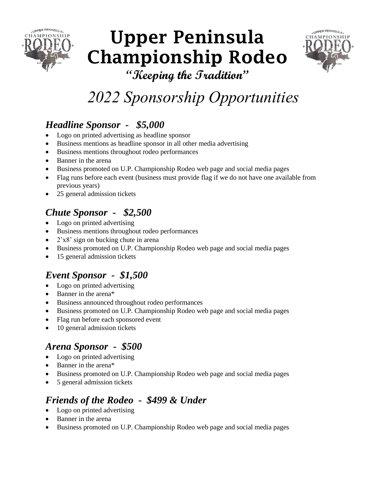

# **Upper Peninsula Championship Rodeo**



**"Keeping the Tradition"**

## *2022 Sponsorship Opportunities*

#### *Headline Sponsor - \$5,000*

- Logo on printed advertising as headline sponsor
- Business mentions as headline sponsor in all other media advertising
- Business mentions throughout rodeo performances
- Banner in the arena
- Business promoted on U.P. Championship Rodeo web page and social media pages
- Flag runs before each event (business must provide flag if we do not have one available from previous years)
- 25 general admission tickets

#### *Chute Sponsor - \$2,500*

- Logo on printed advertising
- Business mentions throughout rodeo performances
- $2'x8'$  sign on bucking chute in arena
- Business promoted on U.P. Championship Rodeo web page and social media pages
- 15 general admission tickets

#### *Event Sponsor - \$1,500*

- Logo on printed advertising
- Banner in the arena\*
- Business announced throughout rodeo performances
- Business promoted on U.P. Championship Rodeo web page and social media pages
- Flag run before each sponsored event
- 10 general admission tickets

#### *Arena Sponsor - \$500*

- Logo on printed advertising
- Banner in the arena\*
- Business promoted on U.P. Championship Rodeo web page and social media pages
- 5 general admission tickets

### *Friends of the Rodeo - \$499 & Under*

- Logo on printed advertising
- Banner in the arena
- Business promoted on U.P. Championship Rodeo web page and social media pages